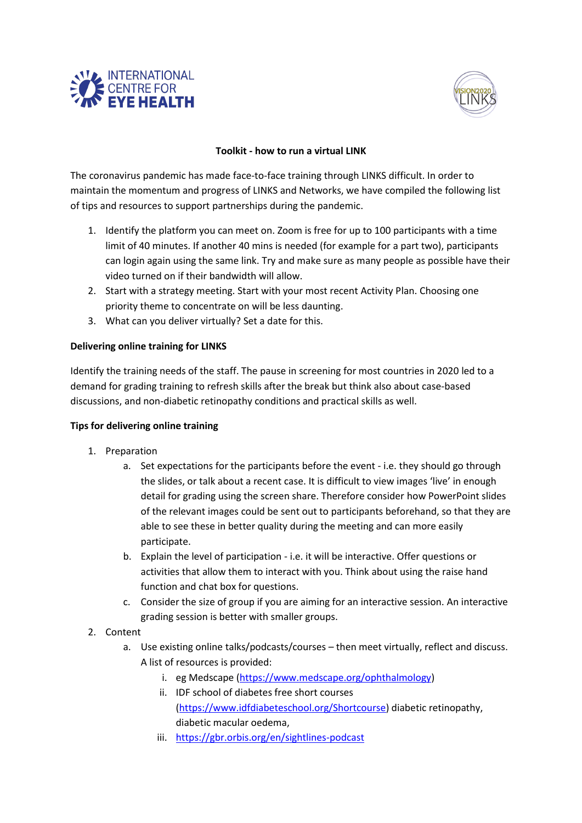



## **Toolkit - how to run a virtual LINK**

The coronavirus pandemic has made face-to-face training through LINKS difficult. In order to maintain the momentum and progress of LINKS and Networks, we have compiled the following list of tips and resources to support partnerships during the pandemic.

- 1. Identify the platform you can meet on. Zoom is free for up to 100 participants with a time limit of 40 minutes. If another 40 mins is needed (for example for a part two), participants can login again using the same link. Try and make sure as many people as possible have their video turned on if their bandwidth will allow.
- 2. Start with a strategy meeting. Start with your most recent Activity Plan. Choosing one priority theme to concentrate on will be less daunting.
- 3. What can you deliver virtually? Set a date for this.

## **Delivering online training for LINKS**

Identify the training needs of the staff. The pause in screening for most countries in 2020 led to a demand for grading training to refresh skills after the break but think also about case-based discussions, and non-diabetic retinopathy conditions and practical skills as well.

## **Tips for delivering online training**

- 1. Preparation
	- a. Set expectations for the participants before the event i.e. they should go through the slides, or talk about a recent case. It is difficult to view images 'live' in enough detail for grading using the screen share. Therefore consider how PowerPoint slides of the relevant images could be sent out to participants beforehand, so that they are able to see these in better quality during the meeting and can more easily participate.
	- b. Explain the level of participation i.e. it will be interactive. Offer questions or activities that allow them to interact with you. Think about using the raise hand function and chat box for questions.
	- c. Consider the size of group if you are aiming for an interactive session. An interactive grading session is better with smaller groups.
- 2. Content
	- a. Use existing online talks/podcasts/courses then meet virtually, reflect and discuss. A list of resources is provided:
		- i. eg Medscape [\(https://www.medscape.org/ophthalmology\)](https://www.medscape.org/ophthalmology)
		- ii. IDF school of diabetes free short courses [\(https://www.idfdiabeteschool.org/Shortcourse\)](https://www.idfdiabeteschool.org/Shortcourse) diabetic retinopathy, diabetic macular oedema,
		- iii. <https://gbr.orbis.org/en/sightlines-podcast>